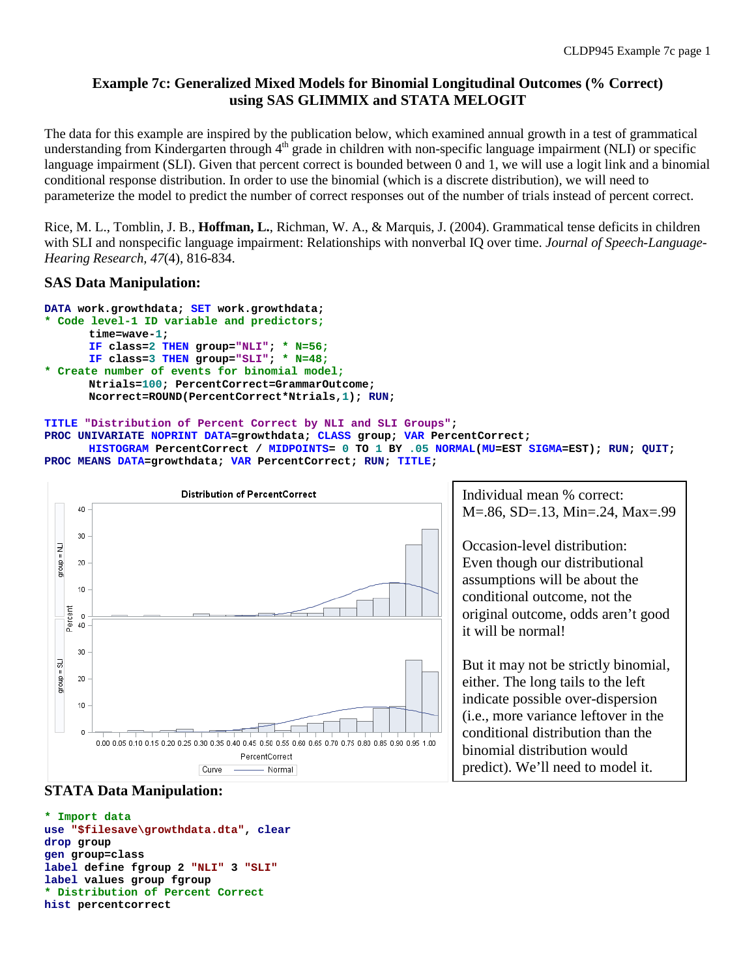# **Example 7c: Generalized Mixed Models for Binomial Longitudinal Outcomes (% Correct) using SAS GLIMMIX and STATA MELOGIT**

The data for this example are inspired by the publication below, which examined annual growth in a test of grammatical understanding from Kindergarten through  $4<sup>th</sup>$  grade in children with non-specific language impairment (NLI) or specific language impairment (SLI). Given that percent correct is bounded between 0 and 1, we will use a logit link and a binomial conditional response distribution. In order to use the binomial (which is a discrete distribution), we will need to parameterize the model to predict the number of correct responses out of the number of trials instead of percent correct.

Rice, M. L., Tomblin, J. B., **Hoffman, L.**, Richman, W. A., & Marquis, J. (2004). Grammatical tense deficits in children with SLI and nonspecific language impairment: Relationships with nonverbal IQ over time. *Journal of Speech-Language-Hearing Research, 47*(4), 816-834.

## **SAS Data Manipulation:**

```
DATA work.growthdata; SET work.growthdata;
* Code level-1 ID variable and predictors;
      time=wave-1; 
      IF class=2 THEN group="NLI"; * N=56;
      IF class=3 THEN group="SLI"; * N=48;
* Create number of events for binomial model;
      Ntrials=100; PercentCorrect=GrammarOutcome;
      Ncorrect=ROUND(PercentCorrect*Ntrials,1); RUN;
```
#### **TITLE "Distribution of Percent Correct by NLI and SLI Groups";**

**PROC UNIVARIATE NOPRINT DATA=growthdata; CLASS group; VAR PercentCorrect;** 

```
HISTOGRAM PercentCorrect / MIDPOINTS= 0 TO 1 BY .05 NORMAL(MU=EST SIGMA=EST); RUN; QUIT;
PROC MEANS DATA=growthdata; VAR PercentCorrect; RUN; TITLE;
```


## **STATA Data Manipulation:**

```
* Import data
use "$filesave\growthdata.dta", clear
drop group
gen group=class
label define fgroup 2 "NLI" 3 "SLI"
label values group fgroup
* Distribution of Percent Correct
hist percentcorrect
```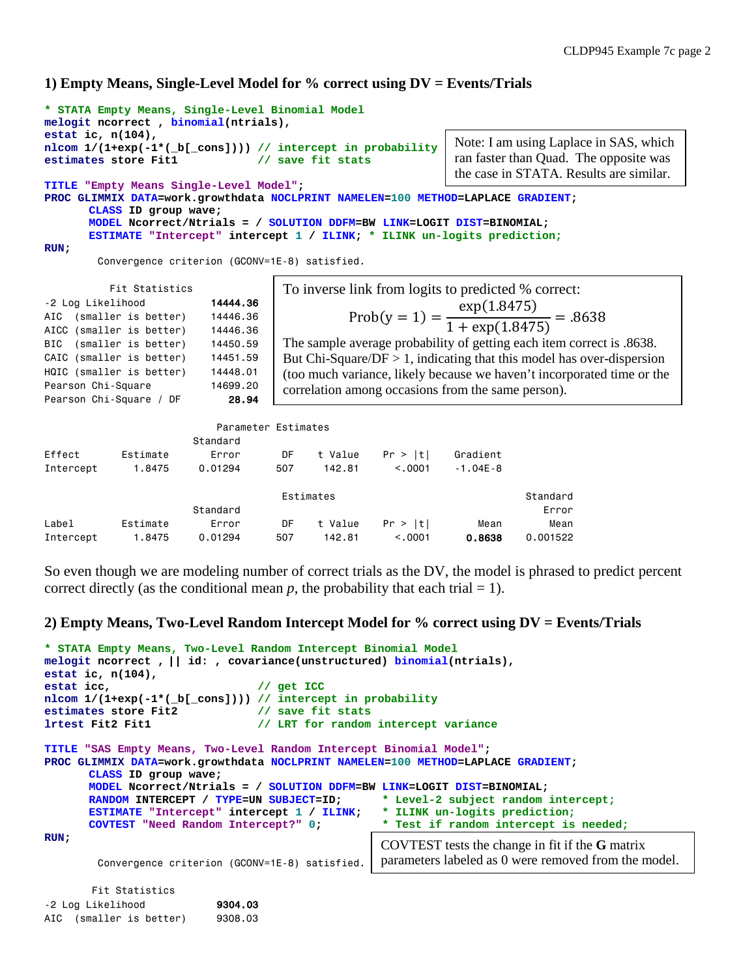# **1) Empty Means, Single-Level Model for % correct using DV = Events/Trials**

```
* STATA Empty Means, Single-Level Binomial Model
melogit ncorrect , binomial(ntrials), 
estat ic, n(104),
nlcom 1/(1+exp(-1*(_b[_cons]))) // intercept in probability
estimates store Fit1
TITLE "Empty Means Single-Level Model";
PROC GLIMMIX DATA=work.growthdata NOCLPRINT NAMELEN=100 METHOD=LAPLACE GRADIENT;
       CLASS ID group wave; 
       MODEL Ncorrect/Ntrials = / SOLUTION DDFM=BW LINK=LOGIT DIST=BINOMIAL;
       ESTIMATE "Intercept" intercept 1 / ILINK; * ILINK un-logits prediction;
RUN;
         Convergence criterion (GCONV=1E-8) satisfied.
                                                                 Note: I am using Laplace in SAS, which 
                                                                 ran faster than Quad. The opposite was 
                                                                 the case in STATA. Results are similar.
```

|                         | Fit Statistics           |          |
|-------------------------|--------------------------|----------|
| -2 Log Likelihood       |                          | 14444.36 |
|                         | AIC (smaller is better)  | 14446.36 |
|                         | AICC (smaller is better) | 14446.36 |
|                         | BIC (smaller is better)  | 14450.59 |
|                         | CAIC (smaller is better) | 14451.59 |
|                         | HQIC (smaller is better) | 14448.01 |
| Pearson Chi-Square      |                          | 14699.20 |
| Pearson Chi-Square / DF |                          | 28.94    |

Prob(y = 1) =  $\frac{\exp(1.8475)}{1 + \exp(1.847)}$  $\frac{1}{1 + \exp(1.8475)} = .8638$ To inverse link from logits to predicted % correct: The sample average probability of getting each item correct is .8638. But Chi-Square/ $DF > 1$ , indicating that this model has over-dispersion (too much variance, likely because we haven't incorporated time or the correlation among occasions from the same person).

Parameter Estimates

|           |          | Standard |     |           |          |              |          |
|-----------|----------|----------|-----|-----------|----------|--------------|----------|
| Effect    | Estimate | Error    | DF  | t Value   | Pr >  t  | Gradient     |          |
| Intercept | 1.8475   | 0.01294  | 507 | 142.81    | < 0.001  | $-1.04E - 8$ |          |
|           |          |          |     | Estimates |          |              | Standard |
|           |          | Standard |     |           |          |              | Error    |
| Label     | Estimate | Error    | DF  | t Value   | Pr >  t  | Mean         | Mean     |
| Intercept | 1.8475   | 0.01294  | 507 | 142.81    | < 0.0001 | 0.8638       | 0.001522 |

So even though we are modeling number of correct trials as the DV, the model is phrased to predict percent correct directly (as the conditional mean  $p$ , the probability that each trial  $= 1$ ).

## **2) Empty Means, Two-Level Random Intercept Model for % correct using DV = Events/Trials**

```
* STATA Empty Means, Two-Level Random Intercept Binomial Model
melogit ncorrect , || id: , covariance(unstructured) binomial(ntrials), 
estat ic, n(104),
estat icc, \frac{1}{2} and \frac{1}{2} and \frac{1}{2} and \frac{1}{2} are \frac{1}{2} and \frac{1}{2} and \frac{1}{2} are \frac{1}{2} and \frac{1}{2} are \frac{1}{2} and \frac{1}{2} are \frac{1}{2} and \frac{1}{2} are \frac{1}{2} and \frac{1}{2} are nlcom 1/(1+exp(-1*(_b[_cons]))) // intercept in probability
estimates store Fit2 // save fit stats<br>1rtest Fit2 Fit1 // LRT for random
                                             1/ LRT for random intercept variance
TITLE "SAS Empty Means, Two-Level Random Intercept Binomial Model";
PROC GLIMMIX DATA=work.growthdata NOCLPRINT NAMELEN=100 METHOD=LAPLACE GRADIENT;
         CLASS ID group wave; 
         MODEL Ncorrect/Ntrials = / SOLUTION DDFM=BW LINK=LOGIT DIST=BINOMIAL;
         RANDOM INTERCEPT / TYPE=UN SUBJECT=ID; * Level-2 subject random intercept;<br>ESTIMATE "Intercept" intercept 1 / ILINK; * ILINK un-logits prediction;
         ESTIMATE "Intercept" intercept 1 \prime ILINK; COVTEST "Need Random Intercept?" 0;
                                                                        * Test if random intercept is needed;
RUN;
            Convergence criterion (GCONV=1E-8) satisfied.
           Fit Statistics
-2 Log Likelihood 9304.03
                                                                       COVTEST tests the change in fit if the G matrix 
                                                                       parameters labeled as 0 were removed from the model.
```

```
AIC (smaller is better) 9308.03
```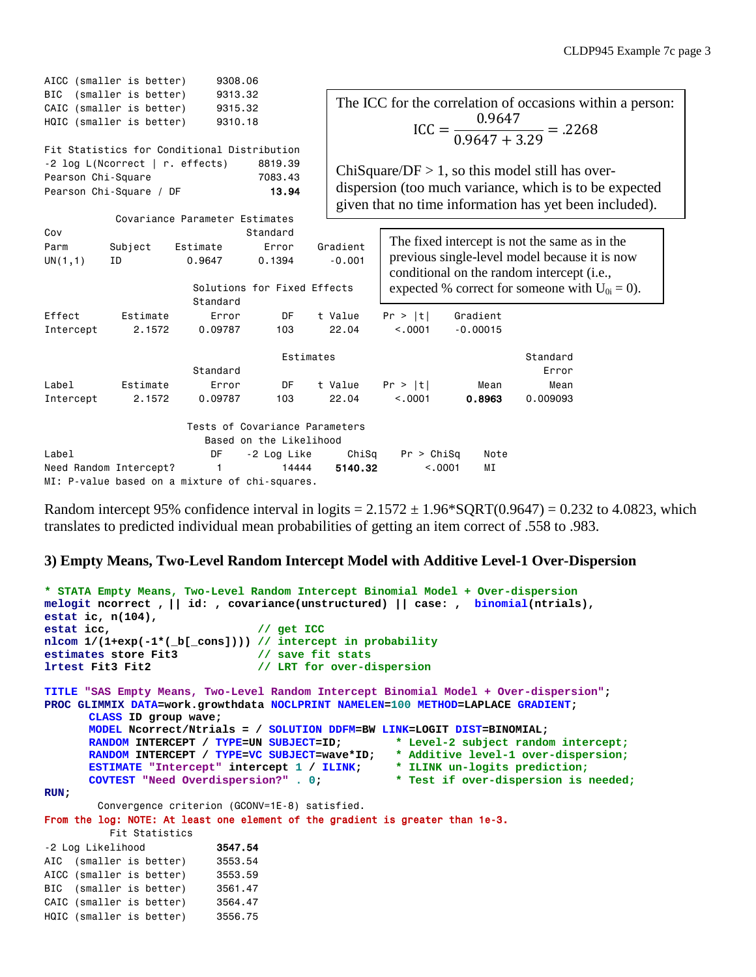|                        | AICC (smaller is better)                                                    | 9308.06                                              |                                                           |                      |                     |                |                                                                                                                                              |                                                                                                                  |
|------------------------|-----------------------------------------------------------------------------|------------------------------------------------------|-----------------------------------------------------------|----------------------|---------------------|----------------|----------------------------------------------------------------------------------------------------------------------------------------------|------------------------------------------------------------------------------------------------------------------|
| <b>BIC</b>             | (smaller is better)<br>CAIC (smaller is better)<br>HQIC (smaller is better) | 9313.32<br>9315.32<br>9310.18                        |                                                           |                      |                     |                | $ICC = \frac{0.9647}{0.9647 + 3.29} = .2268$                                                                                                 | The ICC for the correlation of occasions within a person:                                                        |
| Pearson Chi-Square     | -2 log L(Ncorrect   r. effects)<br>Pearson Chi-Square / DF                  | Fit Statistics for Conditional Distribution          | 8819.39<br>7083.43<br>13.94                               |                      |                     |                | ChiSquare/DF $> 1$ , so this model still has over-                                                                                           | dispersion (too much variance, which is to be expected<br>given that no time information has yet been included). |
| Cov<br>Parm<br>UN(1,1) | Subject<br>ID                                                               | Covariance Parameter Estimates<br>Estimate<br>0.9647 | Standard<br>Error<br>0.1394                               | Gradient<br>$-0.001$ |                     |                | The fixed intercept is not the same as in the<br>previous single-level model because it is now<br>conditional on the random intercept (i.e., |                                                                                                                  |
| Effect                 | Estimate                                                                    | Standard                                             | Solutions for Fixed Effects<br>DF                         | t Value              |                     | Gradient       | expected % correct for someone with $U_{0i} = 0$ ).                                                                                          |                                                                                                                  |
| Intercept              | 2.1572                                                                      | Error<br>0.09787                                     | 103                                                       | 22.04                | Pr >  t <br>< 0.001 | $-0.00015$     |                                                                                                                                              |                                                                                                                  |
|                        |                                                                             | Standard                                             | Estimates                                                 |                      |                     |                | Standard<br>Error                                                                                                                            |                                                                                                                  |
| Label<br>Intercept     | Estimate<br>2.1572                                                          | Error<br>0.09787                                     | <b>DF</b><br>103                                          | t Value<br>22.04     | Pr >  t <br>< 0.001 | Mean<br>0.8963 | Mean<br>0.009093                                                                                                                             |                                                                                                                  |
|                        |                                                                             |                                                      | Tests of Covariance Parameters<br>Based on the Likelihood |                      |                     |                |                                                                                                                                              |                                                                                                                  |
| Label                  |                                                                             | DF                                                   | -2 Log Like                                               | ChiSq                | Pr > Chisq          | Note           |                                                                                                                                              |                                                                                                                  |
|                        | Need Random Intercept?                                                      |                                                      | 14444                                                     | 5140.32              |                     | < 0.0001<br>ΜI |                                                                                                                                              |                                                                                                                  |
|                        |                                                                             |                                                      | MI: P-value based on a mixture of chi-squares.            |                      |                     |                |                                                                                                                                              |                                                                                                                  |

Random intercept 95% confidence interval in logits  $= 2.1572 \pm 1.96*$  SQRT(0.9647)  $= 0.232$  to 4.0823, which translates to predicted individual mean probabilities of getting an item correct of .558 to .983.

## **3) Empty Means, Two-Level Random Intercept Model with Additive Level-1 Over-Dispersion**

```
* STATA Empty Means, Two-Level Random Intercept Binomial Model + Over-dispersion
melogit ncorrect , || id: , covariance(unstructured) || case: , binomial(ntrials), 
estat ic, n(104),
                               estat icc, // get ICC
nlcom 1/(1+exp(-1*(_b[_cons]))) // intercept in probability
estimates store Fit3 // save fit stats
lrtest Fit3 Fit2 // LRT for over-dispersion
TITLE "SAS Empty Means, Two-Level Random Intercept Binomial Model + Over-dispersion";
PROC GLIMMIX DATA=work.growthdata NOCLPRINT NAMELEN=100 METHOD=LAPLACE GRADIENT;
      CLASS ID group wave; 
      MODEL Ncorrect/Ntrials = / SOLUTION DDFM=BW LINK=LOGIT DIST=BINOMIAL;
      RANDOM INTERCEPT / TYPE=UN SUBJECT=ID; * Level-2 subject random intercept;
      RANDOM INTERCEPT / TYPE=VC SUBJECT=wave*ID; * Additive level-1 over-dispersion;
      ESTIMATE "Intercept" intercept 1 / ILINK; * ILINK un-logits prediction;
      COVTEST "Need Overdispersion?" . 0; * Test if over-dispersion is needed;
RUN;
        Convergence criterion (GCONV=1E-8) satisfied.
From the log: NOTE: At least one element of the gradient is greater than 1e-3. 
          Fit Statistics
-2 Log Likelihood 3547.54
AIC (smaller is better) 3553.54
AICC (smaller is better) 3553.59
BIC (smaller is better) 3561.47
CAIC (smaller is better) 3564.47
```
HQIC (smaller is better) 3556.75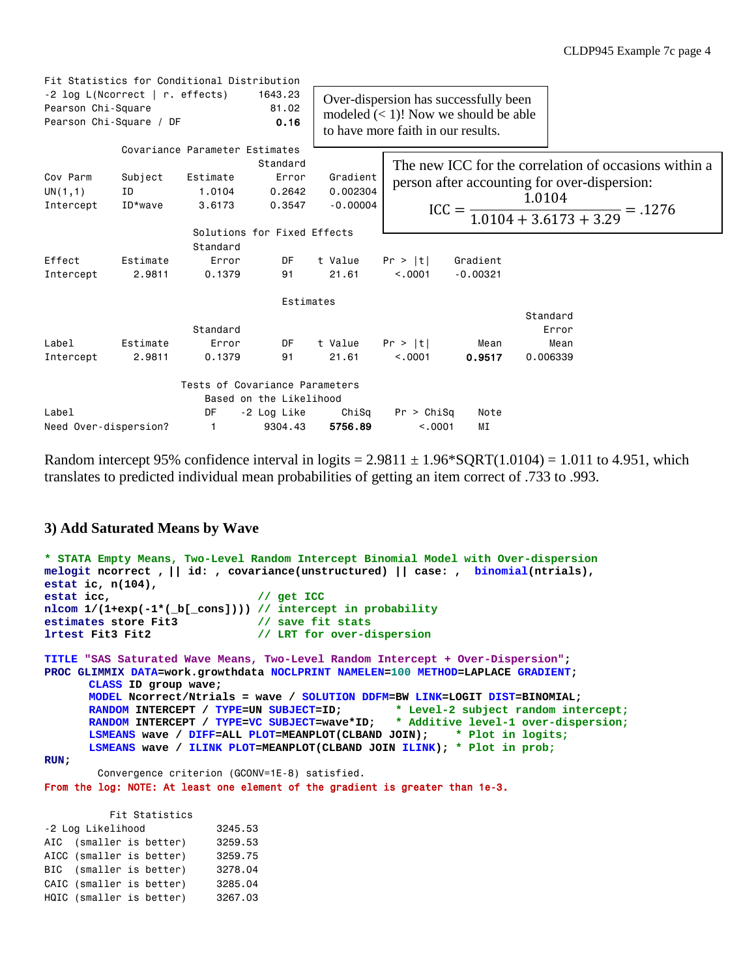|                             | Fit Statistics for Conditional Distribution |                                |                                         |            |                                       |            |          |                                                       |  |
|-----------------------------|---------------------------------------------|--------------------------------|-----------------------------------------|------------|---------------------------------------|------------|----------|-------------------------------------------------------|--|
|                             | -2 log L(Ncorrect   r. effects)             |                                | 1643.23                                 |            | Over-dispersion has successfully been |            |          |                                                       |  |
| Pearson Chi-Square<br>81.02 |                                             |                                | modeled $(< 1)$ ! Now we should be able |            |                                       |            |          |                                                       |  |
|                             | Pearson Chi-Square / DF                     |                                | 0.16                                    |            | to have more faith in our results.    |            |          |                                                       |  |
|                             |                                             | Covariance Parameter Estimates | Standard                                |            |                                       |            |          | The new ICC for the correlation of occasions within a |  |
| Cov Parm                    | Subject                                     | Estimate                       | Error                                   | Gradient   |                                       |            |          |                                                       |  |
| UN(1,1)                     | ID                                          | 1.0104                         | 0.2642                                  | 0.002304   |                                       |            |          | person after accounting for over-dispersion:          |  |
| Intercept                   | ID*wave                                     | 3.6173                         | 0.3547                                  | $-0.00004$ |                                       |            |          | $ICC = \frac{1.0104}{1.0104 + 3.6173 + 3.29} = .1276$ |  |
|                             |                                             |                                | Solutions for Fixed Effects             |            |                                       |            |          |                                                       |  |
|                             |                                             | Standard                       |                                         |            |                                       |            |          |                                                       |  |
| Effect                      | Estimate                                    | Error                          | DF.                                     | t Value    | Pr >  t                               | Gradient   |          |                                                       |  |
| Intercept                   | 2.9811                                      | 0.1379                         | 91                                      | 21.61      | < 0.001                               | $-0.00321$ |          |                                                       |  |
|                             |                                             |                                | Estimates                               |            |                                       |            |          |                                                       |  |
|                             |                                             |                                |                                         |            |                                       |            | Standard |                                                       |  |
|                             |                                             | Standard                       |                                         |            |                                       |            | Error    |                                                       |  |
| Label                       | Estimate                                    | Error                          | DF                                      | t Value    | Pr >  t                               | Mean       | Mean     |                                                       |  |
| Intercept                   | 2.9811                                      | 0.1379                         | 91                                      | 21.61      | < 0.001                               | 0.9517     | 0.006339 |                                                       |  |
|                             |                                             |                                | Tests of Covariance Parameters          |            |                                       |            |          |                                                       |  |
|                             |                                             |                                | Based on the Likelihood                 |            |                                       |            |          |                                                       |  |
| Label                       |                                             | DF                             | -2 Log Like                             | ChiSq      | Pr > Chisq                            | Note       |          |                                                       |  |
| Need Over-dispersion?       |                                             | $\mathbf{1}$                   | 9304.43                                 | 5756.89    | < 0.001                               | ΜI         |          |                                                       |  |

Random intercept 95% confidence interval in logits  $= 2.9811 \pm 1.96***SQRT**(1.0104) = 1.011$  to 4.951, which translates to predicted individual mean probabilities of getting an item correct of .733 to .993.

### **3) Add Saturated Means by Wave**

```
* STATA Empty Means, Two-Level Random Intercept Binomial Model with Over-dispersion
melogit ncorrect , || id: , covariance(unstructured) || case: , binomial(ntrials), 
estat ic, n(104),
                                    estat icc, // get ICC
nlcom 1/(1+exp(-1*(_b[_cons]))) // intercept in probability
estimates store Fit3<br>lrtest Fit3 Fit2
                                    lrtest Fit3 Fit2 // LRT for over-dispersion
TITLE "SAS Saturated Wave Means, Two-Level Random Intercept + Over-Dispersion";
PROC GLIMMIX DATA=work.growthdata NOCLPRINT NAMELEN=100 METHOD=LAPLACE GRADIENT;
       CLASS ID group wave; 
       MODEL Ncorrect/Ntrials = wave / SOLUTION DDFM=BW LINK=LOGIT DIST=BINOMIAL;
       RANDOM INTERCEPT / TYPE=UN SUBJECT=ID;<br>RANDOM INTERCEPT / TYPE=VC SUBJECT=wave*ID;
                                                          * Additive level-1 over-dispersion;<br>JOIN); * Plot in logits;
       LSMEANS wave / DIFF=ALL PLOT=MEANPLOT(CLBAND JOIN);
       LSMEANS wave / ILINK PLOT=MEANPLOT(CLBAND JOIN ILINK); * Plot in prob;
RUN;
          Convergence criterion (GCONV=1E-8) satisfied.
From the log: NOTE: At least one element of the gradient is greater than 1e-3.
```
 Fit Statistics -2 Log Likelihood 3245.53 AIC (smaller is better) 3259.53 AICC (smaller is better) 3259.75 BIC (smaller is better) 3278.04 CAIC (smaller is better) 3285.04 HQIC (smaller is better) 3267.03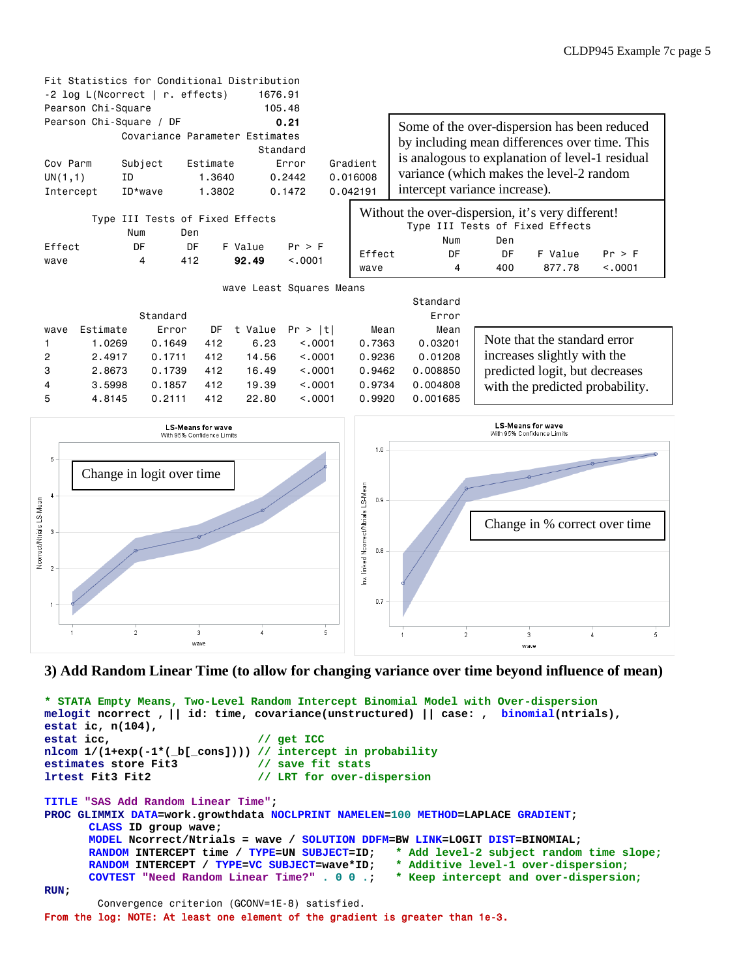

### **3) Add Random Linear Time (to allow for changing variance over time beyond influence of mean)**

```
* STATA Empty Means, Two-Level Random Intercept Binomial Model with Over-dispersion
melogit ncorrect , || id: time, covariance(unstructured) || case: , binomial(ntrials), 
estat ic, n(104),
                                       estat icc, // get ICC
nlcom 1/(1+exp(-1*(_b[_cons]))) // intercept in probability
estimates store Fit3
lrtest Fit3 Fit2 // LRT for over-dispersion
TITLE "SAS Add Random Linear Time";
PROC GLIMMIX DATA=work.growthdata NOCLPRINT NAMELEN=100 METHOD=LAPLACE GRADIENT;
        CLASS ID group wave; 
        MODEL Ncorrect/Ntrials = wave / SOLUTION DDFM=BW LINK=LOGIT DIST=BINOMIAL;
        RANDOM INTERCEPT time / TYPE=UN SUBJECT=ID; * Add level-2 subject random time s<br>RANDOM INTERCEPT / TYPE=VC SUBJECT=wave*ID; * Additive level-1 over-dispersion;
        RANDOM INTERCEPT / TYPE=VC SUBJECT=wave*ID;<br>COVTEST "Need Random Linear Time?" . 0 0 .;
                                                                COVTEST "Need Random Linear Time?" . 0 0 .; * Keep intercept and over-dispersion;
RUN;
           Convergence criterion (GCONV=1E-8) satisfied.
From the log: NOTE: At least one element of the gradient is greater than 1e-3.
```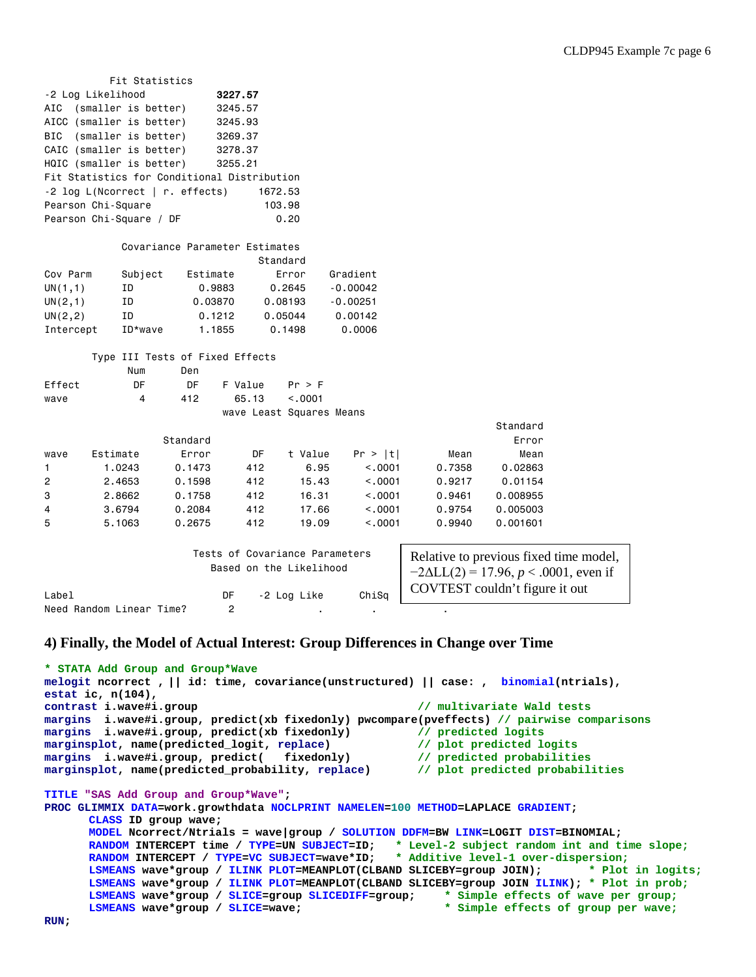|                | Fit Statistics                              |                                |                                |            |            |        |                                             |  |
|----------------|---------------------------------------------|--------------------------------|--------------------------------|------------|------------|--------|---------------------------------------------|--|
|                | -2 Log Likelihood                           |                                | 3227.57                        |            |            |        |                                             |  |
| AIC            | (smaller is better)                         |                                | 3245.57                        |            |            |        |                                             |  |
|                | AICC (smaller is better)                    |                                | 3245.93                        |            |            |        |                                             |  |
| <b>BIC</b>     | (smaller is better)                         |                                | 3269.37                        |            |            |        |                                             |  |
|                | CAIC (smaller is better)                    |                                | 3278.37                        |            |            |        |                                             |  |
|                | HQIC (smaller is better)                    |                                | 3255.21                        |            |            |        |                                             |  |
|                | Fit Statistics for Conditional Distribution |                                |                                |            |            |        |                                             |  |
|                | $-2$ log L(Ncorrect   r. effects)           |                                |                                | 1672.53    |            |        |                                             |  |
|                | Pearson Chi-Square                          |                                |                                | 103.98     |            |        |                                             |  |
|                | Pearson Chi-Square / DF                     |                                |                                | 0.20       |            |        |                                             |  |
|                |                                             |                                |                                |            |            |        |                                             |  |
|                |                                             | Covariance Parameter Estimates |                                | Standard   |            |        |                                             |  |
| Cov Parm       | Subject                                     | Estimate                       |                                | Error      | Gradient   |        |                                             |  |
| UN(1,1)        | ΙD                                          | 0.9883                         |                                | 0.2645     | $-0.00042$ |        |                                             |  |
| UN(2,1)        | ΙD                                          | 0.03870                        |                                | 0.08193    | $-0.00251$ |        |                                             |  |
| UN(2, 2)       | ΙD                                          | 0.1212                         |                                | 0.05044    | 0.00142    |        |                                             |  |
| Intercept      | ID*wave                                     | 1.1855                         |                                | 0.1498     | 0.0006     |        |                                             |  |
|                |                                             |                                |                                |            |            |        |                                             |  |
|                | Type III Tests of Fixed Effects             |                                |                                |            |            |        |                                             |  |
|                | Num                                         | Den                            |                                |            |            |        |                                             |  |
| Effect         | DF                                          | DF                             | F Value                        | $Pr$ > $F$ |            |        |                                             |  |
| wave           | 4                                           | 412                            | 65.13                          | < 0.001    |            |        |                                             |  |
|                |                                             |                                | wave Least Squares Means       |            |            |        |                                             |  |
|                |                                             |                                |                                |            |            |        | Standard                                    |  |
|                |                                             | Standard                       |                                |            |            |        | Error                                       |  |
| wave           | Estimate                                    | Error                          | DF                             | t Value    | Pr >  t    | Mean   | Mean                                        |  |
| 1              | 1.0243                                      | 0.1473                         | 412                            | 6.95       | < .0001    | 0.7358 | 0.02863                                     |  |
| $\overline{c}$ | 2.4653                                      | 0.1598                         | 412                            | 15.43      | < .0001    | 0.9217 | 0.01154                                     |  |
| 3              | 2.8662                                      | 0.1758                         | 412                            | 16.31      | < .0001    | 0.9461 | 0.008955                                    |  |
| 4              | 3.6794                                      | 0.2084                         | 412                            | 17.66      | < .0001    | 0.9754 | 0.005003                                    |  |
| 5              | 5.1063                                      | 0.2675                         | 412                            | 19.09      | < .0001    | 0.9940 | 0.001601                                    |  |
|                |                                             |                                |                                |            |            |        |                                             |  |
|                |                                             |                                | Tests of Covariance Parameters |            |            |        | Relative to previous fixed time model,      |  |
|                |                                             |                                | Based on the Likelihood        |            |            |        | $-2$ AII $(2) = 17.96$ n $\lt$ 0001 even if |  |

|                          |    | Based on the Likelinood |       | $-2\Delta L L(2) = 17.96, p < .0001$ , even if |
|--------------------------|----|-------------------------|-------|------------------------------------------------|
| Label                    | DF | -2 Loa Like             | ChiSa | COVTEST couldn't figure it out                 |
| Need Random Linear Time? |    |                         |       |                                                |

### **4) Finally, the Model of Actual Interest: Group Differences in Change over Time**

```
* STATA Add Group and Group*Wave
melogit ncorrect , || id: time, covariance(unstructured) || case: , binomial(ntrials),
estat ic, n(104),<br>contrast i.wave#i.group
                                                                        contrast i.wave#i.group // multivariate Wald tests
margins i.wave#i.group, predict(xb fixedonly) pwcompare(pveffects) // pairwise comparisons
margins i.wave#i.group, predict(xb fixedonly) // predicted logits<br>marginsplot, name(predicted_logit, replace) // plot predicted logits
marginsplot, name(predicted_logit, replace) // plot predicted logits<br>margins i.wave#i.group, predict( fixedonly) // predicted probabilities
margins i.wave#i.group, predict( fixedonly) // predicted probabilities<br>marginsplot, name(predicted_probability, replace) // plot predicted probabilities
marginsplot, name(predicted_probability, replace)
TITLE "SAS Add Group and Group*Wave"; 
PROC GLIMMIX DATA=work.growthdata NOCLPRINT NAMELEN=100 METHOD=LAPLACE GRADIENT;
        CLASS ID group wave; 
        MODEL Ncorrect/Ntrials = wave|group / SOLUTION DDFM=BW LINK=LOGIT DIST=BINOMIAL;
        RANDOM INTERCEPT time / TYPE=UN SUBJECT=ID; * Level-2 subject random int and time slope;
        RANDOM INTERCEPT / TYPE=VC SUBJECT=wave*ID; * Additive level-1 over-dispersion;<br>
LSMEANS wave*group / ILINK PLOT=MEANPLOT(CLBAND SLICEBY=group JOIN); * Plot in logits;
        LSMEANS wave*group / ILINK PLOT=MEANPLOT(CLBAND SLICEBY=group JOIN);
        LSMEANS wave*group / ILINK PLOT=MEANPLOT(CLBAND SLICEBY=group JOIN ILINK); * Plot in prob;
        LSMEANS wave*group / SLICE=group SLICEDIFF=group;<br>
LSMEANS wave*group / SLICE=wave;
                                                                             * Simple effects of group per wave;
```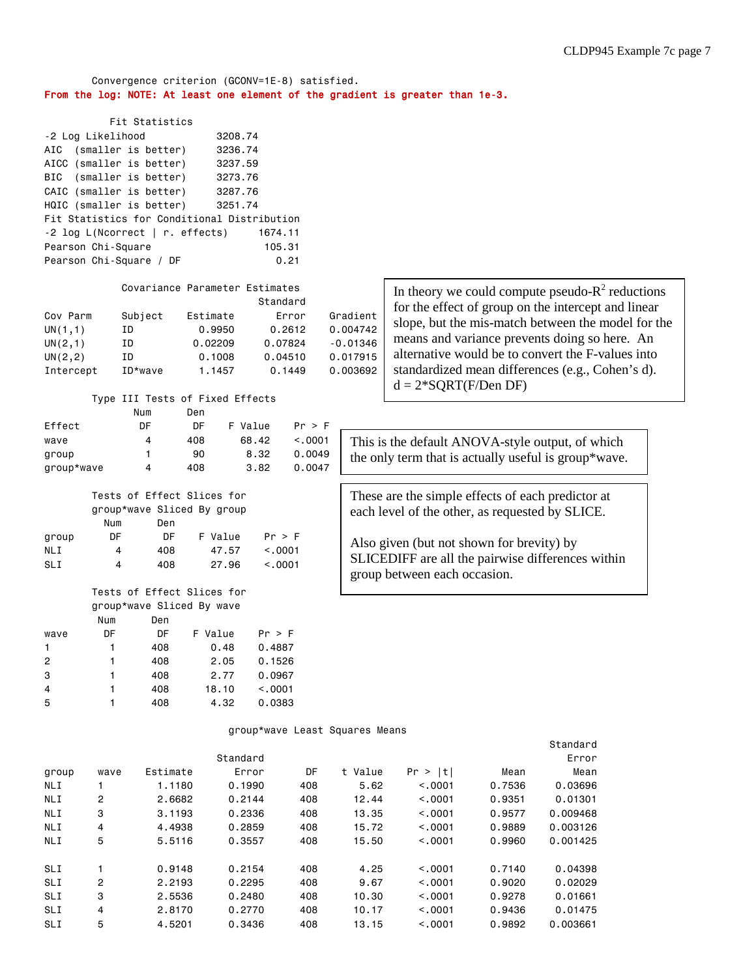### Convergence criterion (GCONV=1E-8) satisfied. From the log: NOTE: At least one element of the gradient is greater than 1e-3.

| Fit Statistics                              |         |  |  |  |  |  |
|---------------------------------------------|---------|--|--|--|--|--|
| -2 Log Likelihood                           | 3208.74 |  |  |  |  |  |
| AIC (smaller is better)                     | 3236.74 |  |  |  |  |  |
| AICC (smaller is better)                    | 3237.59 |  |  |  |  |  |
| BIC (smaller is better)                     | 3273.76 |  |  |  |  |  |
| CAIC (smaller is better)                    | 3287.76 |  |  |  |  |  |
| HQIC (smaller is better)                    | 3251.74 |  |  |  |  |  |
| Fit Statistics for Conditional Distribution |         |  |  |  |  |  |
| -2 log L(Ncorrect   r. effects)             | 1674.11 |  |  |  |  |  |
| Pearson Chi-Square                          | 105.31  |  |  |  |  |  |
| Pearson Chi-Square / DF<br>0.21             |         |  |  |  |  |  |
|                                             |         |  |  |  |  |  |

### Covariance Parameter Estimates

|           |           |          | Standard |            |
|-----------|-----------|----------|----------|------------|
| Cov Parm  | Subject   | Estimate | Error    | Gradient   |
| UN(1,1)   | ΙD        | 0.9950   | 0.2612   | 0.004742   |
| UN(2,1)   | ΙD        | 0.02209  | 0.07824  | $-0.01346$ |
| UN(2,2)   | ΙD        | 0.1008   | 0.04510  | 0.017915   |
| Intercept | $ID*wave$ | 1.1457   | 0.1449   | 0.003692   |

# Type III Tests of Fixed Effects Num Den<br>Effect DE

| Effect     | DE | DE  | F Value | Pr > F  |
|------------|----|-----|---------|---------|
| wave       | 4  | 408 | 68.42   | < 0.001 |
| group      |    | 90. | 8.32    | 0.0049  |
| group*wave | 4  | 408 | 3.82    | 0.0047  |

|            | Tests of Effect Slices for |     |         |         |  |  |
|------------|----------------------------|-----|---------|---------|--|--|
|            | group*wave Sliced By group |     |         |         |  |  |
|            | Num                        | Den |         |         |  |  |
| group      | DF                         | DF. | F Value | Pr > F  |  |  |
| NL I       | 4                          | 408 | 47.57   | < 0.001 |  |  |
| <b>SLI</b> | 4                          | 408 | 27.96   | < 0.001 |  |  |

#### Tests of Effect Slices for group\*wave Sliced By wave Den

|                | .  | --- |         |          |
|----------------|----|-----|---------|----------|
| wave           | DF | DF  | F Value | Pr > F   |
|                | 1  | 408 | 0.48    | 0.4887   |
| 2              | 1  | 408 | 2.05    | 0.1526   |
| 3              | 1  | 408 | 2.77    | 0.0967   |
| $\overline{4}$ | 1  | 408 | 18.10   | < 0.0001 |
| 5              | 1  | 408 | 4.32    | 0.0383   |
|                |    |     |         |          |

In theory we could compute pseudo- $R^2$  reductions for the effect of group on the intercept and linear slope, but the mis-match between the model for the means and variance prevents doing so here. An alternative would be to convert the F-values into standardized mean differences (e.g., Cohen's d).  $d = 2*SQRT(F/Den DF)$ 

This is the default ANOVA-style output, of which the only term that is actually useful is group\*wave.

These are the simple effects of each predictor at each level of the other, as requested by SLICE.

Also given (but not shown for brevity) by SLICEDIFF are all the pairwise differences within group between each occasion.

#### group\*wave Least Squares Means

|            |                |          |          |     |         |            |        | Standard |
|------------|----------------|----------|----------|-----|---------|------------|--------|----------|
|            |                |          | Standard |     |         |            |        | Error    |
| group      | wave           | Estimate | Error    | DF  | t Value | Pr ><br> t | Mean   | Mean     |
| NLI        |                | 1,1180   | 0.1990   | 408 | 5.62    | < 0.0001   | 0.7536 | 0.03696  |
| <b>NLI</b> | 2              | 2.6682   | 0.2144   | 408 | 12.44   | < 0.001    | 0.9351 | 0.01301  |
| <b>NLI</b> | 3              | 3.1193   | 0.2336   | 408 | 13.35   | < 0.001    | 0.9577 | 0.009468 |
| <b>NLI</b> | 4              | 4.4938   | 0.2859   | 408 | 15.72   | < 0.001    | 0.9889 | 0.003126 |
| NLI        | 5              | 5.5116   | 0.3557   | 408 | 15.50   | < 0.001    | 0.9960 | 0.001425 |
| SLI        |                | 0.9148   | 0.2154   | 408 | 4.25    | < 0.001    | 0.7140 | 0.04398  |
| SLI        | $\overline{2}$ | 2.2193   | 0.2295   | 408 | 9.67    | < 0.001    | 0.9020 | 0.02029  |
| SLI        | 3              | 2.5536   | 0.2480   | 408 | 10.30   | < 0.001    | 0.9278 | 0.01661  |
| SLI        | 4              | 2.8170   | 0.2770   | 408 | 10.17   | < 0.001    | 0.9436 | 0.01475  |
| SLI        | 5              | 4.5201   | 0.3436   | 408 | 13.15   | < 0.0001   | 0.9892 | 0.003661 |